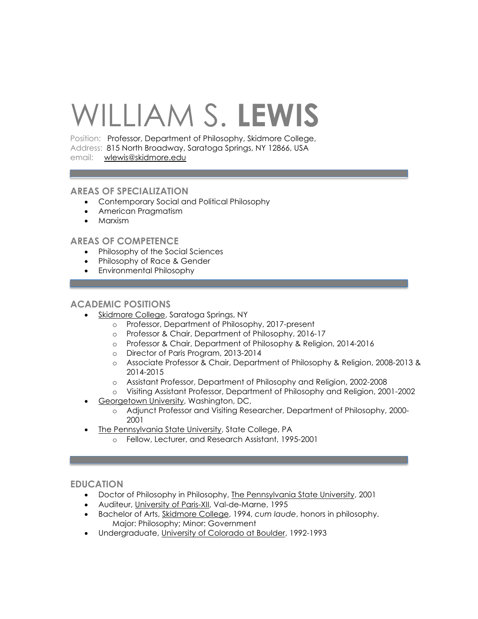# WILLIAM S. **LEWIS**

Position: Professor, Department of Philosophy, Skidmore College, Address: 815 North Broadway, Saratoga Springs, NY 12866, USA email: wlewis@skidmore.edu

## **AREAS OF SPECIALIZATION**

- Contemporary Social and Political Philosophy
- American Pragmatism
- Marxism

# **AREAS OF COMPETENCE**

- Philosophy of the Social Sciences
- Philosophy of Race & Gender
- Environmental Philosophy

# **ACADEMIC POSITIONS**

- Skidmore College, Saratoga Springs, NY
	- o Professor, Department of Philosophy, 2017-present
	- o Professor & Chair, Department of Philosophy, 2016-17
	- o Professor & Chair, Department of Philosophy & Religion, 2014-2016
	- o Director of Paris Program, 2013-2014
	- o Associate Professor & Chair, Department of Philosophy & Religion, 2008-2013 & 2014-2015
	- o Assistant Professor, Department of Philosophy and Religion, 2002-2008
	- o Visiting Assistant Professor, Department of Philosophy and Religion, 2001-2002
- Georgetown University, Washington, DC,
	- o Adjunct Professor and Visiting Researcher, Department of Philosophy, 2000- 2001
- The Pennsylvania State University, State College, PA
	- o Fellow, Lecturer, and Research Assistant, 1995-2001

# **EDUCATION**

- Doctor of Philosophy in Philosophy, The Pennsylvania State University, 2001
- Auditeur, University of Paris-XII, Val-de-Marne, 1995
- Bachelor of Arts, Skidmore College, 1994, *cum laude*, honors in philosophy. Major: Philosophy; Minor: Government
- Undergraduate, University of Colorado at Boulder, 1992-1993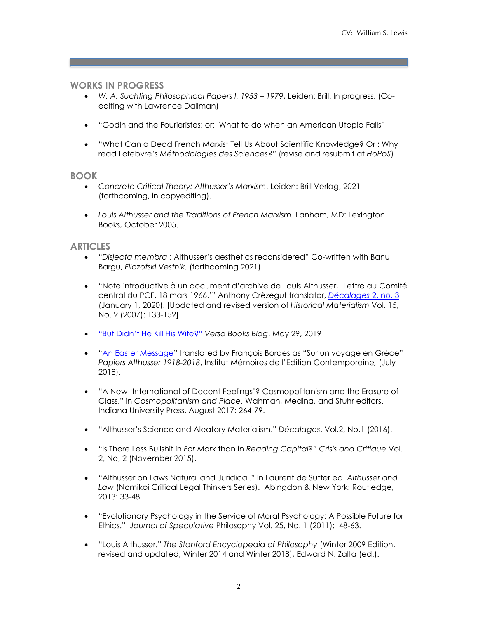# **WORKS IN PROGRESS**

- *W. A. Suchting Philosophical Papers I. 1953 – 1979*, Leiden: Brill. In progress. (Coediting with Lawrence Dallman)
- "Godin and the Fourieristes; or: What to do when an American Utopia Fails"
- "What Can a Dead French Marxist Tell Us About Scientific Knowledge? Or : Why read Lefebvre's *Méthodologies des Sciences*?" (revise and resubmit at *HoPoS*)

## **BOOK**

- *Concrete Critical Theory: Althusser's Marxism*. Leiden: Brill Verlag, 2021 (forthcoming, in copyediting).
- *Louis Althusser and the Traditions of French Marxism.* Lanham, MD: Lexington Books, October 2005.

## **ARTICLES**

- *"Disjecta membra* : Althusser's aesthetics reconsidered" Co-written with Banu Bargu, *Filozofski Vestnik.* (forthcoming 2021).
- "Note introductive à un document d'archive de Louis Althusser, 'Lettre au Comité central du PCF, 18 mars 1966.'" Anthony Crèzegut translator, *Décalages* 2, no. 3 (January 1, 2020). [Updated and revised version of *Historical Materialism* Vol. 15, No. 2 (2007): 133-152]
- "But Didn't He Kill His Wife?" *Verso Books Blog*. May 29, 2019
- "An Easter Message" translated by François Bordes as "Sur un voyage en Grèce" *Papiers Althusser 1918-2018*, Institut Mémoires de l'Edition Contemporaine*,* (July 2018).
- "A New 'International of Decent Feelings'? Cosmopolitanism and the Erasure of Class." in *Cosmopolitanism and Place.* Wahman, Medina, and Stuhr editors. Indiana University Press. August 2017: 264-79.
- "Althusser's Science and Aleatory Materialism." *Décalages*. Vol.2, No.1 (2016).
- "Is There Less Bullshit in *For Marx* than in *Reading Capital*?*" Crisis and Critique* Vol. 2, No, 2 (November 2015).
- "Althusser on Laws Natural and Juridical." In Laurent de Sutter ed. *Althusser and Law* (Nomikoi Critical Legal Thinkers Series). Abingdon & New York: Routledge, 2013: 33-48.
- "Evolutionary Psychology in the Service of Moral Psychology: A Possible Future for Ethics." *Journal of Speculative* Philosophy Vol. 25, No. 1 (2011): 48-63.
- "Louis Althusser." *The Stanford Encyclopedia of Philosophy* (Winter 2009 Edition, revised and updated, Winter 2014 and Winter 2018), Edward N. Zalta (ed.).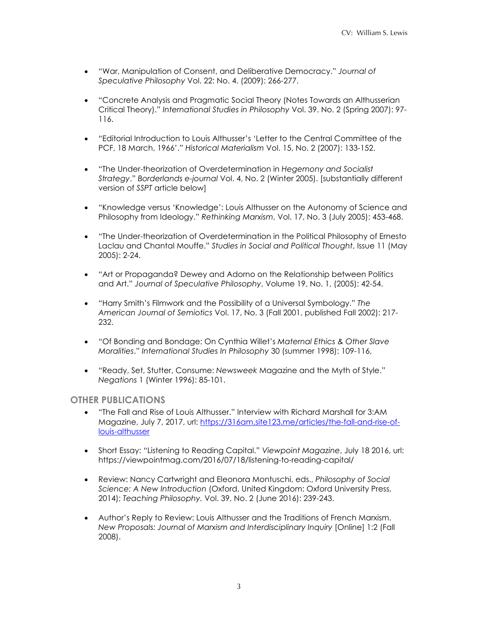- "War, Manipulation of Consent, and Deliberative Democracy." *Journal of Speculative Philosophy* Vol. 22: No. 4. (2009): 266-277.
- "Concrete Analysis and Pragmatic Social Theory (Notes Towards an Althusserian Critical Theory)." *International Studies in Philosophy* Vol. 39. No. 2 (Spring 2007): 97- 116.
- "Editorial Introduction to Louis Althusser's 'Letter to the Central Committee of the PCF, 18 March, 1966'." *Historical Materialism* Vol. 15, No. 2 (2007): 133-152.
- "The Under-theorization of Overdetermination in *Hegemony and Socialist Strategy*." *Borderlands e-journal* Vol. 4, No. 2 (Winter 2005). [substantially different version of *SSPT* article below]
- "Knowledge versus 'Knowledge': Louis Althusser on the Autonomy of Science and Philosophy from Ideology." *Rethinking Marxism*, Vol. 17, No. 3 (July 2005): 453-468.
- "The Under-theorization of Overdetermination in the Political Philosophy of Ernesto Laclau and Chantal Mouffe." *Studies in Social and Political Thought*, Issue 11 (May 2005): 2-24.
- "Art or Propaganda? Dewey and Adorno on the Relationship between Politics and Art." *Journal of Speculative Philosophy*, Volume 19, No. 1, (2005): 42-54.
- "Harry Smith's Filmwork and the Possibility of a Universal Symbology." *The American Journal of Semiotics* Vol. 17, No. 3 (Fall 2001, published Fall 2002): 217- 232.
- "Of Bonding and Bondage: On Cynthia Willet's *Maternal Ethics & Other Slave Moralities*." *International Studies In Philosophy* 30 (summer 1998): 109-116,
- "Ready, Set, Stutter, Consume: *Newsweek* Magazine and the Myth of Style." *Negations* 1 (Winter 1996): 85-101.

## **OTHER PUBLICATIONS**

- "The Fall and Rise of Louis Althusser." Interview with Richard Marshall for 3:AM Magazine, July 7, 2017, url: https://316am.site123.me/articles/the-fall-and-rise-oflouis-althusser
- Short Essay: "Listening to Reading Capital." *Viewpoint Magazine*, July 18 2016, url: https://viewpointmag.com/2016/07/18/listening-to-reading-capital/
- Review: Nancy Cartwright and Eleonora Montuschi, eds., *Philosophy of Social Science: A New Introduction* (Oxford, United Kingdom: Oxford University Press, 2014); *Teaching Philosophy.* Vol. 39, No. 2 (June 2016): 239-243.
- Author's Reply to Review: Louis Althusser and the Traditions of French Marxism. *New Proposals: Journal of Marxism and Interdisciplinary Inquiry* [Online] 1:2 (Fall 2008).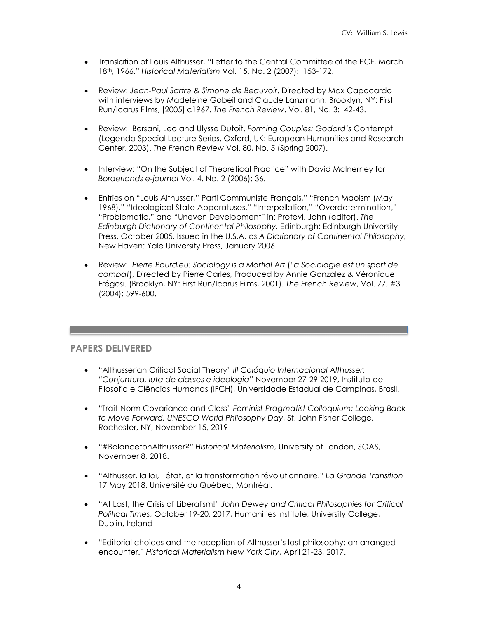- Translation of Louis Althusser, "Letter to the Central Committee of the PCF, March 18th, 1966." *Historical Materialism* Vol. 15, No. 2 (2007): 153-172.
- Review: *Jean-Paul Sartre & Simone de Beauvoir*. Directed by Max Capocardo with interviews by Madeleine Gobeil and Claude Lanzmann. Brooklyn, NY: First Run/Icarus Films, [2005] c1967. *The French Review*. Vol. 81, No. 3: 42-43.
- Review: Bersani, Leo and Ulysse Dutoit. *Forming Couples: Godard's* Contempt (Legenda Special Lecture Series. Oxford, UK: European Humanities and Research Center, 2003). *The French Review* Vol. 80, No. 5 (Spring 2007).
- Interview: "On the Subject of Theoretical Practice" with David McInerney for *Borderlands e-journal* Vol. 4, No. 2 (2006): 36.
- Entries on "Louis Althusser," Parti Communiste Français," "French Maoism (May 1968)," "Ideological State Apparatuses," "Interpellation," "Overdetermination," "Problematic," and "Uneven Development" in: Protevi, John (editor). *The Edinburgh Dictionary of Continental Philosophy,* Edinburgh: Edinburgh University Press, October 2005. Issued in the U.S.A. as *A Dictionary of Continental Philosophy,*  New Haven: Yale University Press, January 2006
- Review: *Pierre Bourdieu: Sociology is a Martial Art* (*La Sociologie est un sport de combat*), Directed by Pierre Carles, Produced by Annie Gonzalez & Véronique Frégosi. (Brooklyn, NY: First Run/Icarus Films, 2001). *The French Review*, Vol. 77, #3 (2004): 599-600.

# **PAPERS DELIVERED**

- "Althusserian Critical Social Theory" *III Colóquio Internacional Althusser: "Conjuntura, luta de classes e ideologia"* November 27-29 2019, Instituto de Filosofia e Ciências Humanas (IFCH), Universidade Estadual de Campinas, Brasil.
- "Trait-Norm Covariance and Class" *Feminist-Pragmatist Colloquium: Looking Back to Move Forward, UNESCO World Philosophy Day*, St. John Fisher College, Rochester, NY, November 15, 2019
- "#BalancetonAlthusser?" *Historical Materialism*, University of London, SOAS, November 8, 2018.
- "Althusser, la loi, l'état, et la transformation révolutionnaire." *La Grande Transition* 17 May 2018, Université du Québec, Montréal.
- "At Last, the Crisis of Liberalism!" *John Dewey and Critical Philosophies for Critical Political Times*, October 19-20, 2017, Humanities Institute, University College, Dublin, Ireland
- "Editorial choices and the reception of Althusser's last philosophy: an arranged encounter." *Historical Materialism New York City*, April 21-23, 2017.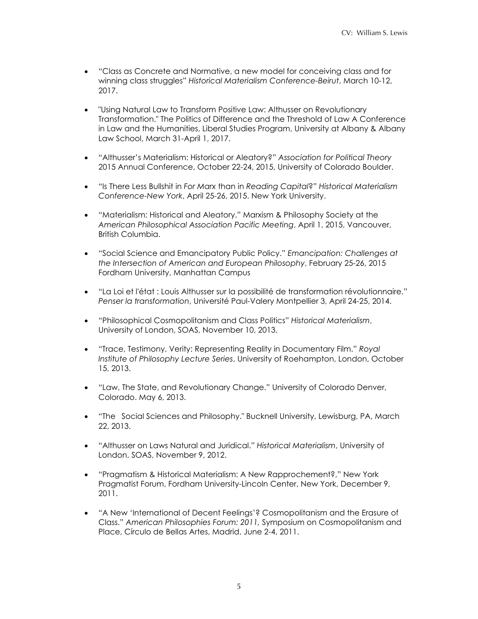- "Class as Concrete and Normative, a new model for conceiving class and for winning class struggles" *Historical Materialism Conference-Beirut*, March 10-12, 2017.
- "Using Natural Law to Transform Positive Law: Althusser on Revolutionary Transformation." The Politics of Difference and the Threshold of Law A Conference in Law and the Humanities, Liberal Studies Program, University at Albany & Albany Law School, March 31-April 1, 2017.
- "Althusser's Materialism: Historical or Aleatory?" *Association for Political Theory* 2015 Annual Conference, October 22-24, 2015, University of Colorado Boulder.
- "Is There Less Bullshit in *For Marx* than in *Reading Capital*?*" Historical Materialism Conference-New York*, April 25-26, 2015. New York University.
- "Materialism: Historical and Aleatory." Marxism & Philosophy Society at the *American Philosophical Association Pacific Meeting*, April 1, 2015, Vancouver, British Columbia.
- "Social Science and Emancipatory Public Policy." *Emancipation: Challenges at the Intersection of American and European Philosophy*, February 25-26, 2015 Fordham University, Manhattan Campus
- "La Loi et l'état : Louis Althusser sur la possibilité de transformation révolutionnaire." *Penser la transformation*, Université Paul-Valery Montpellier 3, April 24-25, 2014.
- "Philosophical Cosmopolitanism and Class Politics" *Historical Materialism*, University of London, SOAS, November 10, 2013.
- "Trace, Testimony, Verity: Representing Reality in Documentary Film." *Royal Institute of Philosophy Lecture Series*, University of Roehampton, London, October 15, 2013.
- "Law, The State, and Revolutionary Change." University of Colorado Denver, Colorado. May 6, 2013.
- "The Social Sciences and Philosophy." Bucknell University, Lewisburg, PA, March 22, 2013.
- "Althusser on Laws Natural and Juridical." *Historical Materialism*, University of London, SOAS, November 9, 2012.
- "Pragmatism & Historical Materialism: A New Rapprochement?," New York Pragmatist Forum, Fordham University-Lincoln Center, New York, December 9, 2011.
- "A New 'International of Decent Feelings'? Cosmopolitanism and the Erasure of Class." *American Philosophies Forum: 2011,* Symposium on Cosmopolitanism and Place, Círculo de Bellas Artes, Madrid. June 2-4, 2011.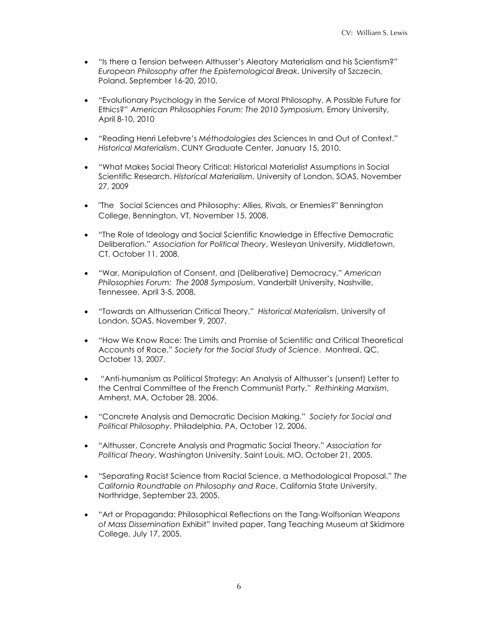- "Is there a Tension between Althusser's Aleatory Materialism and his Scientism?" *European Philosophy after the Epistemological Break*. University of Szczecin, Poland, September 16-20, 2010.
- "Evolutionary Psychology in the Service of Moral Philosophy, A Possible Future for Ethics?" *American Philosophies Forum: The 2010 Symposium,* Emory University, April 8-10, 2010
- "Reading Henri Lefebvre's *Méthodologies des* Sciences In and Out of Context." *Historical Materialism*. CUNY Graduate Center, January 15, 2010.
- "What Makes Social Theory Critical: Historical Materialist Assumptions in Social Scientific Research. *Historical Materialism*, University of London, SOAS, November 27, 2009
- "The Social Sciences and Philosophy: Allies, Rivals, or Enemies?" Bennington College, Bennington, VT, November 15, 2008.
- "The Role of Ideology and Social Scientific Knowledge in Effective Democratic Deliberation." *Association for Political Theory*, Wesleyan University, Middletown, CT, October 11, 2008.
- "War, Manipulation of Consent, and (Deliberative) Democracy." *American Philosophies Forum: The 2008 Symposium*, Vanderbilt University, Nashville, Tennessee, April 3-5, 2008.
- "Towards an Althusserian Critical Theory." *Historical Materialism*, University of London, SOAS, November 9, 2007.
- "How We Know Race: The Limits and Promise of Scientific and Critical Theoretical Accounts of Race." *Society for the Social Study of Science*. Montreal, QC, October 13, 2007.
- "Anti-humanism as Political Strategy: An Analysis of Althusser's (unsent) Letter to the Central Committee of the French Communist Party." *Rethinking Marxism*, Amherst, MA, October 28, 2006.
- "Concrete Analysis and Democratic Decision Making." *Society for Social and Political Philosophy*. Philadelphia, PA, October 12, 2006.
- "Althusser, Concrete Analysis and Pragmatic Social Theory." *Association for Political Theory*, Washington University, Saint Louis, MO, October 21, 2005.
- "Separating Racist Science from Racial Science, a Methodological Proposal." *The California Roundtable on Philosophy and Race*, California State University, Northridge, September 23, 2005.
- "Art or Propaganda: Philosophical Reflections on the Tang-Wolfsonian *Weapons of Mass Dissemination* Exhibit" Invited paper, Tang Teaching Museum at Skidmore College, July 17, 2005.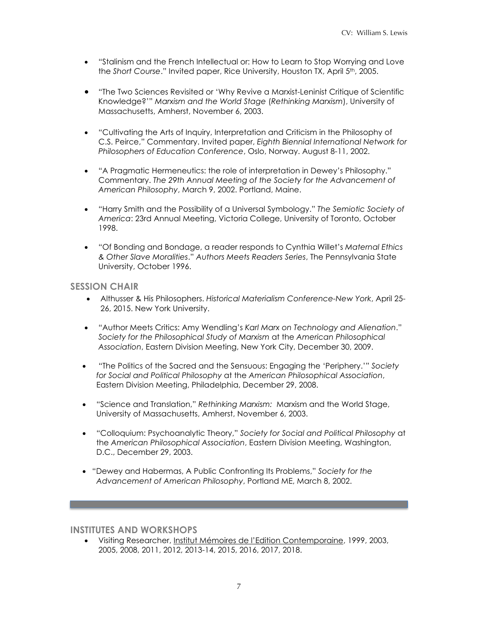- "Stalinism and the French Intellectual or: How to Learn to Stop Worrying and Love the *Short Course*." Invited paper, Rice University, Houston TX, April 5th, 2005.
- "The Two Sciences Revisited or 'Why Revive a Marxist-Leninist Critique of Scientific Knowledge?'" *Marxism and the World Stage* (*Rethinking Marxism*), University of Massachusetts, Amherst, November 6, 2003.
- "Cultivating the Arts of Inquiry, Interpretation and Criticism in the Philosophy of C.S. Peirce," Commentary. Invited paper, *Eighth Biennial International Network for Philosophers of Education Conference*, Oslo, Norway. August 8-11, 2002.
- "A Pragmatic Hermeneutics: the role of interpretation in Dewey's Philosophy." Commentary. *The 29th Annual Meeting of the Society for the Advancement of American Philosophy*, March 9, 2002. Portland, Maine.
- "Harry Smith and the Possibility of a Universal Symbology." *The Semiotic Society of America*: 23rd Annual Meeting, Victoria College, University of Toronto, October 1998.
- "Of Bonding and Bondage, a reader responds to Cynthia Willet's *Maternal Ethics & Other Slave Moralities*." *Authors Meets Readers Series*, The Pennsylvania State University, October 1996.

# **SESSION CHAIR**

- Althusser & His Philosophers. *Historical Materialism Conference-New York*, April 25- 26, 2015. New York University.
- "Author Meets Critics: Amy Wendling's *Karl Marx on Technology and Alienation*." *Society for the Philosophical Study of Marxism* at the *American Philosophical Association*, Eastern Division Meeting, New York City, December 30, 2009.
- "The Politics of the Sacred and the Sensuous: Engaging the 'Periphery.'" *Society for Social and Political Philosophy* at the *American Philosophical Association*, Eastern Division Meeting, Philadelphia, December 29, 2008.
- "Science and Translation," *Rethinking Marxism:* Marxism and the World Stage, University of Massachusetts, Amherst, November 6, 2003.
- "Colloquium: Psychoanalytic Theory," *Society for Social and Political Philosophy* at the *American Philosophical Association*, Eastern Division Meeting, Washington, D.C., December 29, 2003.
- "Dewey and Habermas, A Public Confronting Its Problems," *Society for the Advancement of American Philosophy*, Portland ME, March 8, 2002.

## **INSTITUTES AND WORKSHOPS**

• Visiting Researcher, Institut Mémoires de l'Edition Contemporaine, 1999, 2003, 2005, 2008, 2011, 2012, 2013-14, 2015, 2016, 2017, 2018.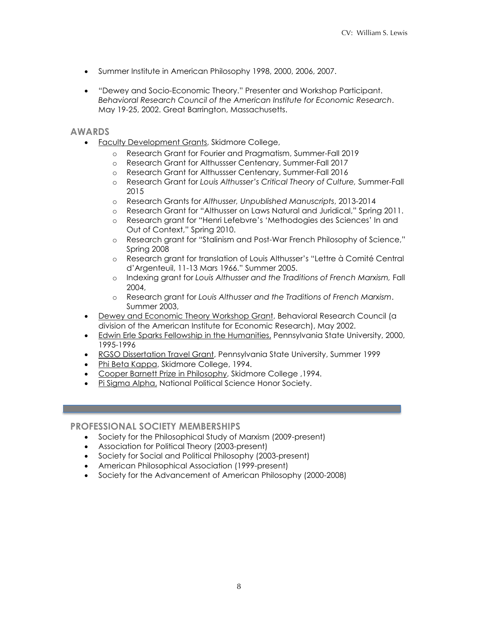- Summer Institute in American Philosophy 1998, 2000, 2006, 2007.
- "Dewey and Socio-Economic Theory." Presenter and Workshop Participant. *Behavioral Research Council of the American Institute for Economic Research*. May 19-25, 2002. Great Barrington, Massachusetts.

## **AWARDS**

- Faculty Development Grants, Skidmore College,
	- o Research Grant for Fourier and Pragmatism, Summer-Fall 2019
	- o Research Grant for Althussser Centenary, Summer-Fall 2017
	- o Research Grant for Althussser Centenary, Summer-Fall 2016
	- o Research Grant for *Louis Althusser's Critical Theory of Culture,* Summer-Fall 2015
	- o Research Grants for *Althusser, Unpublished Manuscripts*, 2013-2014
	- o Research Grant for "Althusser on Laws Natural and Juridical," Spring 2011.
	- o Research grant for "Henri Lefebvre's 'Methodogies des Sciences' In and Out of Context," Spring 2010.
	- o Research grant for "Stalinism and Post-War French Philosophy of Science," Spring 2008
	- o Research grant for translation of Louis Althusser's "Lettre à Comité Central d'Argenteuil, 11-13 Mars 1966." Summer 2005.
	- o Indexing grant for *Louis Althusser and the Traditions of French Marxism,* Fall 2004,
	- o Research grant for *Louis Althusser and the Traditions of French Marxism*. Summer 2003,
- Dewey and Economic Theory Workshop Grant, Behavioral Research Council (a division of the American Institute for Economic Research), May 2002.
- Edwin Erle Sparks Fellowship in the Humanities, Pennsylvania State University, 2000, 1995-1996
- RGSO Dissertation Travel Grant, Pennsylvania State University, Summer 1999
- Phi Beta Kappa, Skidmore College, 1994.
- Cooper Barnett Prize in Philosophy, Skidmore College ,1994.
- Pi Sigma Alpha, National Political Science Honor Society.

## **PROFESSIONAL SOCIETY MEMBERSHIPS**

- Society for the Philosophical Study of Marxism (2009-present)
- Association for Political Theory (2003-present)
- Society for Social and Political Philosophy (2003-present)
- American Philosophical Association (1999-present)
- Society for the Advancement of American Philosophy (2000-2008)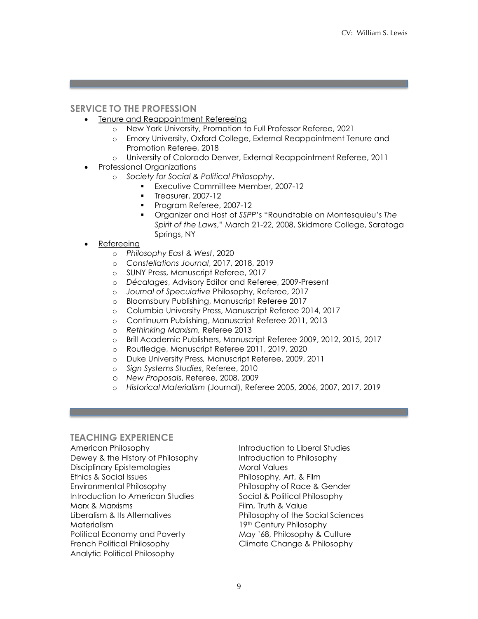# **SERVICE TO THE PROFESSION**

- Tenure and Reappointment Refereeing
	- o New York University, Promotion to Full Professor Referee, 2021
	- o Emory University, Oxford College, External Reappointment Tenure and Promotion Referee, 2018
	- o University of Colorado Denver, External Reappointment Referee, 2011
- Professional Organizations
	- o *Society for Social & Political Philosophy*,
		- § Executive Committee Member, 2007-12
		- § Treasurer, 2007-12
		- Program Referee, 2007-12
		- § Organizer and Host of *SSPP*'s "Roundtable on Montesquieu's *The Spirit of the Laws*," March 21-22, 2008, Skidmore College, Saratoga Springs, NY
- **Refereeing** 
	- o *Philosophy East & West*, 2020
	- o *Constellations Journal*, 2017, 2018, 2019
	- o SUNY Press, Manuscript Referee, 2017
	- o *Décalages*, Advisory Editor and Referee, 2009-Present
	- o *Journal of Speculative* Philosophy, Referee, 2017
	- o Bloomsbury Publishing, Manuscript Referee 2017
	- o Columbia University Press, Manuscript Referee 2014, 2017
	- o Continuum Publishing, Manuscript Referee 2011, 2013
	- o *Rethinking Marxism,* Referee 2013
	- o Brill Academic Publishers, Manuscript Referee 2009, 2012, 2015, 2017
	- o Routledge, Manuscript Referee 2011, 2019, 2020
	- o Duke University Press*,* Manuscript Referee, 2009, 2011
	- o *Sign Systems Studies*, Referee, 2010
	- o *New Proposals*, Referee, 2008, 2009
	- o *Historical Materialism* (Journal), Referee 2005, 2006, 2007, 2017, 2019

## **TEACHING EXPERIENCE**

American Philosophy **Introduction to Liberal Studies** Dewey & the History of Philosophy Introduction to Philosophy Disciplinary Epistemologies Moral Values Ethics & Social Issues Philosophy, Art, & Film Environmental Philosophy Philosophy of Race & Gender Introduction to American Studies Social & Political Philosophy Marx & Marxisms **Film, Truth & Value** Liberalism & Its Alternatives Philosophy of the Social Sciences Materialism 19th Century Philosophy Political Economy and Poverty May '68, Philosophy & Culture French Political Philosophy Climate Change & Philosophy Analytic Political Philosophy